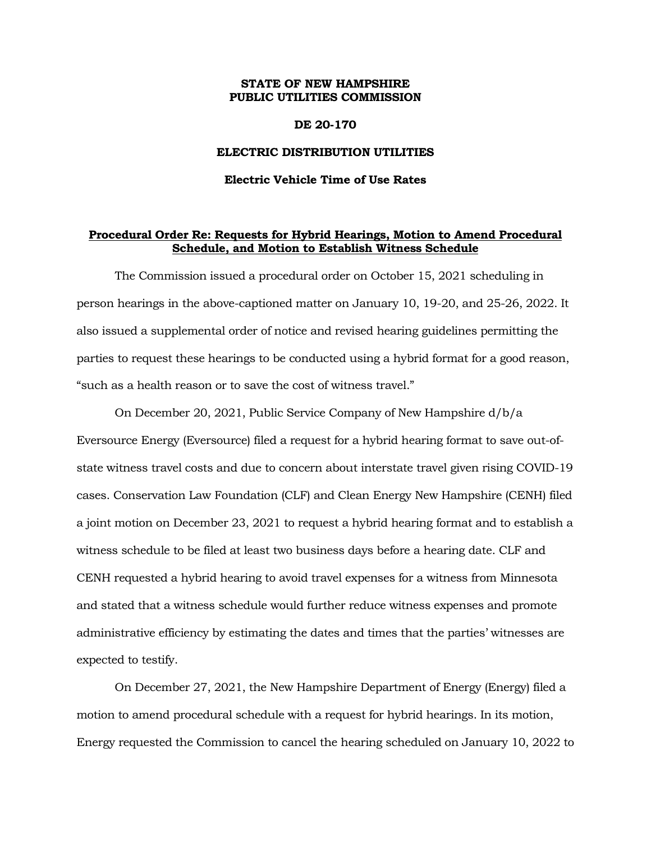## **STATE OF NEW HAMPSHIRE PUBLIC UTILITIES COMMISSION**

### **DE 20-170**

#### **ELECTRIC DISTRIBUTION UTILITIES**

#### **Electric Vehicle Time of Use Rates**

# **Procedural Order Re: Requests for Hybrid Hearings, Motion to Amend Procedural Schedule, and Motion to Establish Witness Schedule**

The Commission issued a procedural order on October 15, 2021 scheduling in person hearings in the above-captioned matter on January 10, 19-20, and 25-26, 2022. It also issued a supplemental order of notice and revised hearing guidelines permitting the parties to request these hearings to be conducted using a hybrid format for a good reason, "such as a health reason or to save the cost of witness travel."

On December 20, 2021, Public Service Company of New Hampshire d/b/a Eversource Energy (Eversource) filed a request for a hybrid hearing format to save out-ofstate witness travel costs and due to concern about interstate travel given rising COVID-19 cases. Conservation Law Foundation (CLF) and Clean Energy New Hampshire (CENH) filed a joint motion on December 23, 2021 to request a hybrid hearing format and to establish a witness schedule to be filed at least two business days before a hearing date. CLF and CENH requested a hybrid hearing to avoid travel expenses for a witness from Minnesota and stated that a witness schedule would further reduce witness expenses and promote administrative efficiency by estimating the dates and times that the parties' witnesses are expected to testify.

On December 27, 2021, the New Hampshire Department of Energy (Energy) filed a motion to amend procedural schedule with a request for hybrid hearings. In its motion, Energy requested the Commission to cancel the hearing scheduled on January 10, 2022 to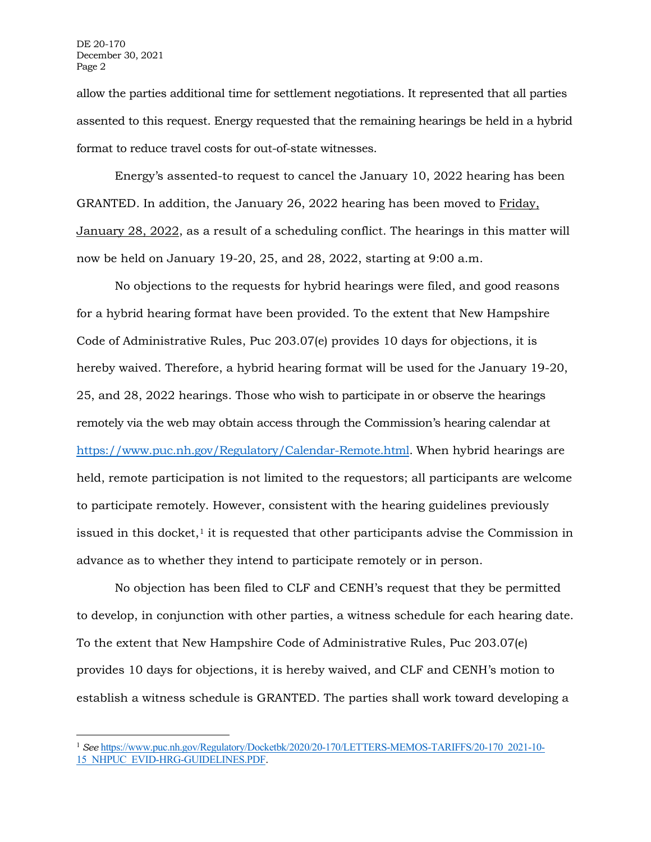allow the parties additional time for settlement negotiations. It represented that all parties assented to this request. Energy requested that the remaining hearings be held in a hybrid format to reduce travel costs for out-of-state witnesses.

Energy's assented-to request to cancel the January 10, 2022 hearing has been GRANTED. In addition, the January 26, 2022 hearing has been moved to Friday, January 28, 2022, as a result of a scheduling conflict. The hearings in this matter will now be held on January 19-20, 25, and 28, 2022, starting at 9:00 a.m.

No objections to the requests for hybrid hearings were filed, and good reasons for a hybrid hearing format have been provided. To the extent that New Hampshire Code of Administrative Rules, Puc 203.07(e) provides 10 days for objections, it is hereby waived. Therefore, a hybrid hearing format will be used for the January 19-20, 25, and 28, 2022 hearings. Those who wish to participate in or observe the hearings remotely via the web may obtain access through the Commission's hearing calendar at [https://www.puc.nh.gov/Regulatory/Calendar-Remote.html.](https://www.puc.nh.gov/Regulatory/Calendar-Remote.html) When hybrid hearings are held, remote participation is not limited to the requestors; all participants are welcome to participate remotely. However, consistent with the hearing guidelines previously issued in this docket, $1$  it is requested that other participants advise the Commission in advance as to whether they intend to participate remotely or in person.

No objection has been filed to CLF and CENH's request that they be permitted to develop, in conjunction with other parties, a witness schedule for each hearing date. To the extent that New Hampshire Code of Administrative Rules, Puc 203.07(e) provides 10 days for objections, it is hereby waived, and CLF and CENH's motion to establish a witness schedule is GRANTED. The parties shall work toward developing a

<span id="page-1-0"></span><sup>1</sup> *See* [https://www.puc.nh.gov/Regulatory/Docketbk/2020/20-170/LETTERS-MEMOS-TARIFFS/20-170\\_2021-10-](https://www.puc.nh.gov/Regulatory/Docketbk/2020/20-170/LETTERS-MEMOS-TARIFFS/20-170_2021-10-15_NHPUC_EVID-HRG-GUIDELINES.PDF) [15\\_NHPUC\\_EVID-HRG-GUIDELINES.PDF](https://www.puc.nh.gov/Regulatory/Docketbk/2020/20-170/LETTERS-MEMOS-TARIFFS/20-170_2021-10-15_NHPUC_EVID-HRG-GUIDELINES.PDF).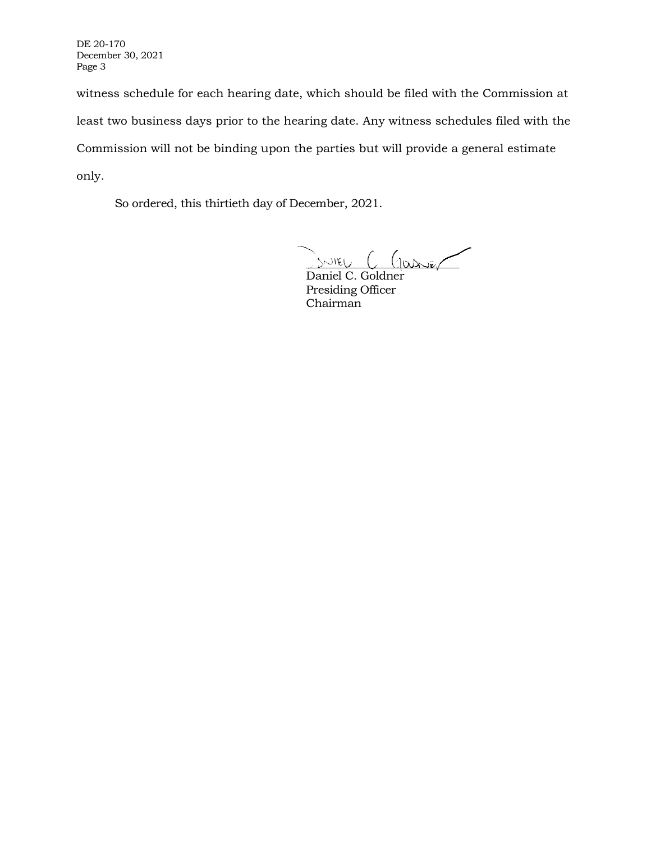DE 20-170 December 30, 2021 Page 3

witness schedule for each hearing date, which should be filed with the Commission at least two business days prior to the hearing date. Any witness schedules filed with the Commission will not be binding upon the parties but will provide a general estimate only.

So ordered, this thirtieth day of December, 2021.

\_\_\_\_\_\_\_\_\_\_\_\_\_\_\_\_\_\_\_\_\_\_\_\_\_

Daniel C. Goldner Presiding Officer Chairman